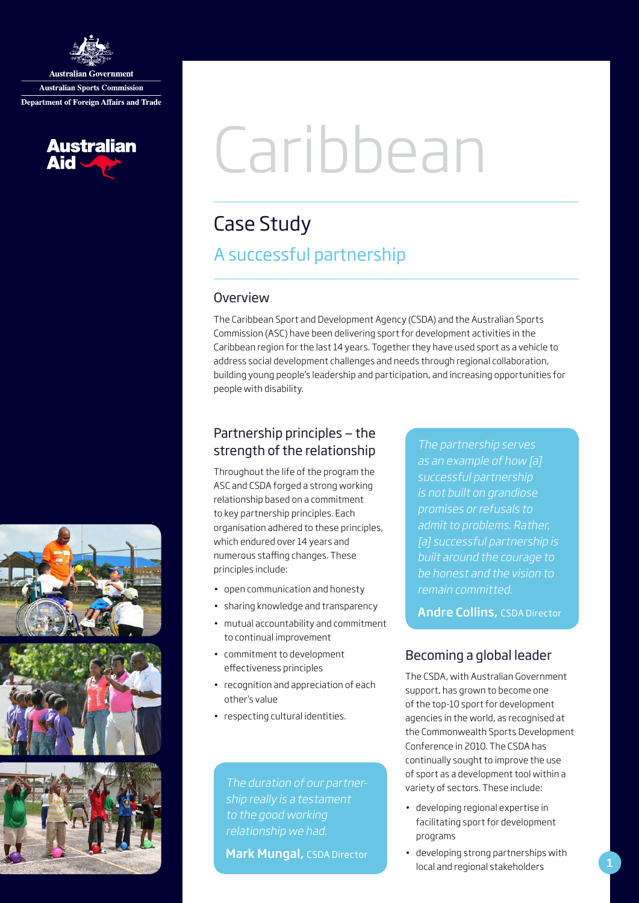

**Australian Government Australian Sports Commission Department of Foreign Affairs and Trade** 



# Caribbean

# Case Study A successful partnership

#### **Overview**

The Caribbean Sport and Development Agency (CSDA) and the Australian Sports Commission (ASC) have been delivering sport for development activities in the Caribbean region for the last 14 years. Together they have used sport as a vehicle to address social development challenges and needs through regional collaboration, building young people's leadership and participation, and increasing opportunities for people with disability.

# Partnership principles — the strength of the relationship

Throughout the life of the program the ASC and CSDA forged a strong working relationship based on a commitment to key partnership principles. Each organisation adhered to these principles, which endured over 14 years and numerous staffing changes. These principles include:

- open communication and honesty
- sharing knowledge and transparency
- mutual accountability and commitment to continual improvement
- commitment to development effectiveness principles
- recognition and appreciation of each other's value
- respecting cultural identities.

to the good working

Mark Mungal, CSDA Director

The partnership serves as an example of how [a] successful partnership is not built on grandiose promises or refusals to admit to problems. Rather, [a] successful partnership is built around the courage to be honest and the vision to remain committed.

Andre Collins, CSDA Director

# Becoming a global leader

The CSDA, with Australian Government support, has grown to become one of the top-10 sport for development agencies in the world, as recognised at the Commonwealth Sports Development Conference in 2010. The CSDA has continually sought to improve the use of sport as a development tool within a variety of sectors. These include:

- developing regional expertise in facilitating sport for development programs
- developing strong partnerships with local and regional stakeholders

1